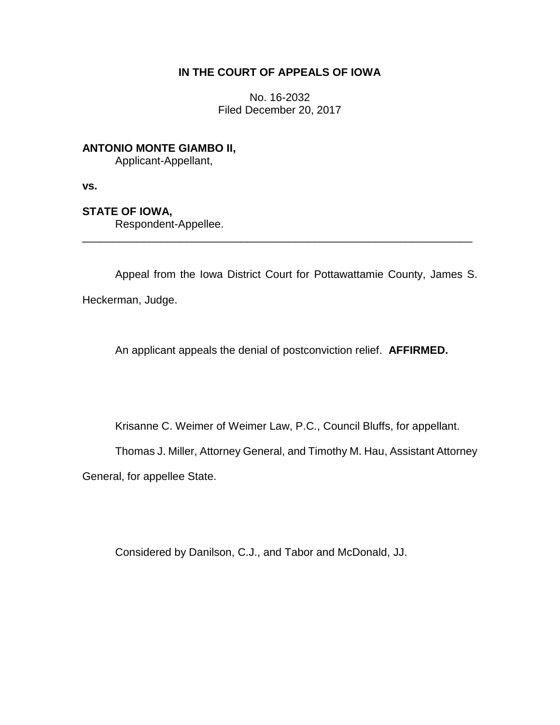## **IN THE COURT OF APPEALS OF IOWA**

No. 16-2032 Filed December 20, 2017

# **ANTONIO MONTE GIAMBO II,**

Applicant-Appellant,

**vs.**

## **STATE OF IOWA,**

Respondent-Appellee.

Appeal from the Iowa District Court for Pottawattamie County, James S. Heckerman, Judge.

\_\_\_\_\_\_\_\_\_\_\_\_\_\_\_\_\_\_\_\_\_\_\_\_\_\_\_\_\_\_\_\_\_\_\_\_\_\_\_\_\_\_\_\_\_\_\_\_\_\_\_\_\_\_\_\_\_\_\_\_\_\_\_\_

An applicant appeals the denial of postconviction relief. **AFFIRMED.** 

Krisanne C. Weimer of Weimer Law, P.C., Council Bluffs, for appellant.

Thomas J. Miller, Attorney General, and Timothy M. Hau, Assistant Attorney

General, for appellee State.

Considered by Danilson, C.J., and Tabor and McDonald, JJ.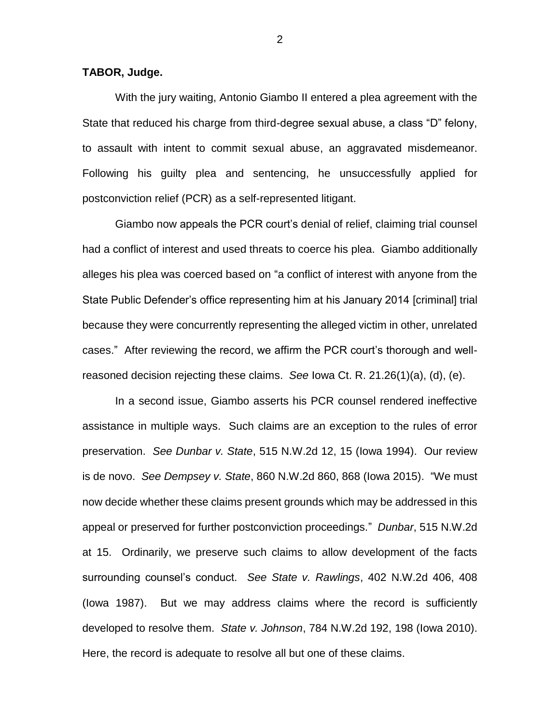#### **TABOR, Judge.**

With the jury waiting, Antonio Giambo II entered a plea agreement with the State that reduced his charge from third-degree sexual abuse, a class "D" felony, to assault with intent to commit sexual abuse, an aggravated misdemeanor. Following his guilty plea and sentencing, he unsuccessfully applied for postconviction relief (PCR) as a self-represented litigant.

Giambo now appeals the PCR court's denial of relief, claiming trial counsel had a conflict of interest and used threats to coerce his plea. Giambo additionally alleges his plea was coerced based on "a conflict of interest with anyone from the State Public Defender's office representing him at his January 2014 [criminal] trial because they were concurrently representing the alleged victim in other, unrelated cases." After reviewing the record, we affirm the PCR court's thorough and wellreasoned decision rejecting these claims. *See* Iowa Ct. R. 21.26(1)(a), (d), (e).

In a second issue, Giambo asserts his PCR counsel rendered ineffective assistance in multiple ways. Such claims are an exception to the rules of error preservation. *See Dunbar v. State*, 515 N.W.2d 12, 15 (Iowa 1994). Our review is de novo. *See Dempsey v. State*, 860 N.W.2d 860, 868 (Iowa 2015). "We must now decide whether these claims present grounds which may be addressed in this appeal or preserved for further postconviction proceedings." *Dunbar*, 515 N.W.2d at 15. Ordinarily, we preserve such claims to allow development of the facts surrounding counsel's conduct. *See State v. Rawlings*, 402 N.W.2d 406, 408 (Iowa 1987). But we may address claims where the record is sufficiently developed to resolve them. *State v. Johnson*, 784 N.W.2d 192, 198 (Iowa 2010). Here, the record is adequate to resolve all but one of these claims.

2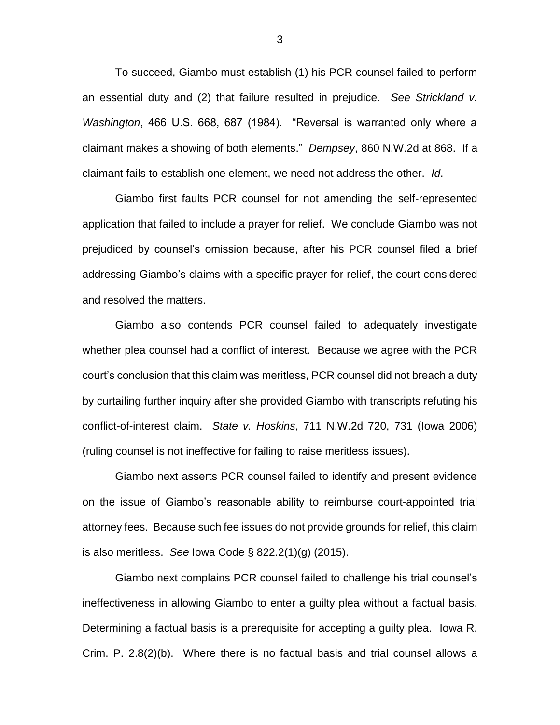To succeed, Giambo must establish (1) his PCR counsel failed to perform an essential duty and (2) that failure resulted in prejudice. *See Strickland v. Washington*, 466 U.S. 668, 687 (1984). "Reversal is warranted only where a claimant makes a showing of both elements." *Dempsey*, 860 N.W.2d at 868. If a claimant fails to establish one element, we need not address the other. *Id*.

Giambo first faults PCR counsel for not amending the self-represented application that failed to include a prayer for relief. We conclude Giambo was not prejudiced by counsel's omission because, after his PCR counsel filed a brief addressing Giambo's claims with a specific prayer for relief, the court considered and resolved the matters.

Giambo also contends PCR counsel failed to adequately investigate whether plea counsel had a conflict of interest. Because we agree with the PCR court's conclusion that this claim was meritless, PCR counsel did not breach a duty by curtailing further inquiry after she provided Giambo with transcripts refuting his conflict-of-interest claim. *State v. Hoskins*, 711 N.W.2d 720, 731 (Iowa 2006) (ruling counsel is not ineffective for failing to raise meritless issues).

Giambo next asserts PCR counsel failed to identify and present evidence on the issue of Giambo's reasonable ability to reimburse court-appointed trial attorney fees. Because such fee issues do not provide grounds for relief, this claim is also meritless. *See* Iowa Code § 822.2(1)(g) (2015).

Giambo next complains PCR counsel failed to challenge his trial counsel's ineffectiveness in allowing Giambo to enter a guilty plea without a factual basis. Determining a factual basis is a prerequisite for accepting a guilty plea. Iowa R. Crim. P. 2.8(2)(b). Where there is no factual basis and trial counsel allows a

3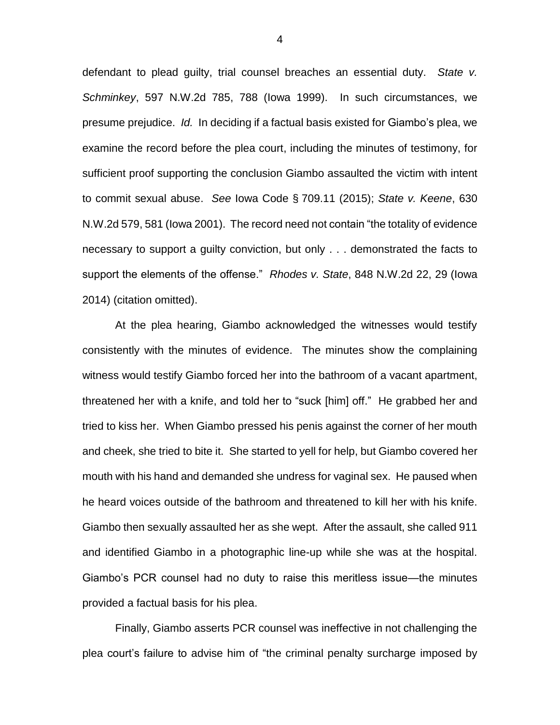defendant to plead guilty, trial counsel breaches an essential duty. *State v. Schminkey*, 597 N.W.2d 785, 788 (Iowa 1999). In such circumstances, we presume prejudice. *Id.* In deciding if a factual basis existed for Giambo's plea, we examine the record before the plea court, including the minutes of testimony, for sufficient proof supporting the conclusion Giambo assaulted the victim with intent to commit sexual abuse. *See* Iowa Code § 709.11 (2015); *State v. Keene*, 630 N.W.2d 579, 581 (Iowa 2001). The record need not contain "the totality of evidence necessary to support a guilty conviction, but only . . . demonstrated the facts to support the elements of the offense." *Rhodes v. State*, 848 N.W.2d 22, 29 (Iowa 2014) (citation omitted).

At the plea hearing, Giambo acknowledged the witnesses would testify consistently with the minutes of evidence. The minutes show the complaining witness would testify Giambo forced her into the bathroom of a vacant apartment, threatened her with a knife, and told her to "suck [him] off." He grabbed her and tried to kiss her. When Giambo pressed his penis against the corner of her mouth and cheek, she tried to bite it. She started to yell for help, but Giambo covered her mouth with his hand and demanded she undress for vaginal sex. He paused when he heard voices outside of the bathroom and threatened to kill her with his knife. Giambo then sexually assaulted her as she wept. After the assault, she called 911 and identified Giambo in a photographic line-up while she was at the hospital. Giambo's PCR counsel had no duty to raise this meritless issue—the minutes provided a factual basis for his plea.

Finally, Giambo asserts PCR counsel was ineffective in not challenging the plea court's failure to advise him of "the criminal penalty surcharge imposed by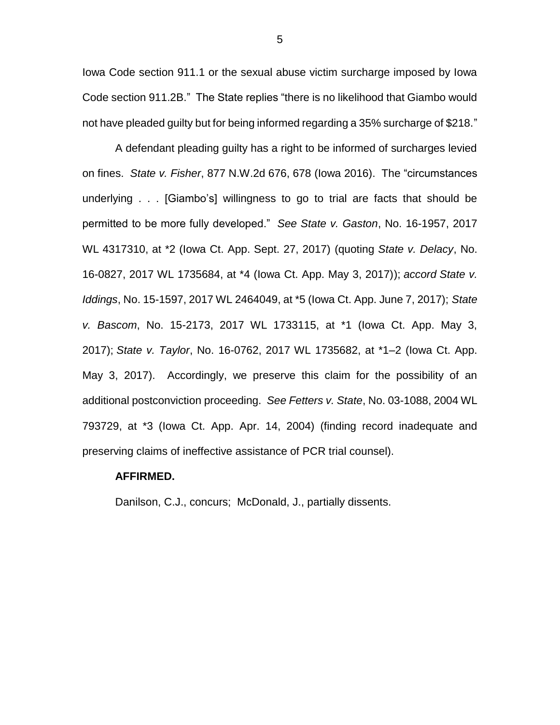Iowa Code section 911.1 or the sexual abuse victim surcharge imposed by Iowa Code section 911.2B." The State replies "there is no likelihood that Giambo would not have pleaded guilty but for being informed regarding a 35% surcharge of \$218."

A defendant pleading guilty has a right to be informed of surcharges levied on fines. *State v. Fisher*, 877 N.W.2d 676, 678 (Iowa 2016). The "circumstances underlying . . . [Giambo's] willingness to go to trial are facts that should be permitted to be more fully developed." *See State v. Gaston*, No. 16-1957, 2017 WL 4317310, at \*2 (Iowa Ct. App. Sept. 27, 2017) (quoting *State v. Delacy*, No. 16-0827, 2017 WL 1735684, at \*4 (Iowa Ct. App. May 3, 2017)); *accord State v. Iddings*, No. 15-1597, 2017 WL 2464049, at \*5 (Iowa Ct. App. June 7, 2017); *State v. Bascom*, No. 15-2173, 2017 WL 1733115, at \*1 (Iowa Ct. App. May 3, 2017); *State v. Taylor*, No. 16-0762, 2017 WL 1735682, at \*1–2 (Iowa Ct. App. May 3, 2017). Accordingly, we preserve this claim for the possibility of an additional postconviction proceeding. *See Fetters v. State*, No. 03-1088, 2004 WL 793729, at \*3 (Iowa Ct. App. Apr. 14, 2004) (finding record inadequate and preserving claims of ineffective assistance of PCR trial counsel).

#### **AFFIRMED.**

Danilson, C.J., concurs; McDonald, J., partially dissents.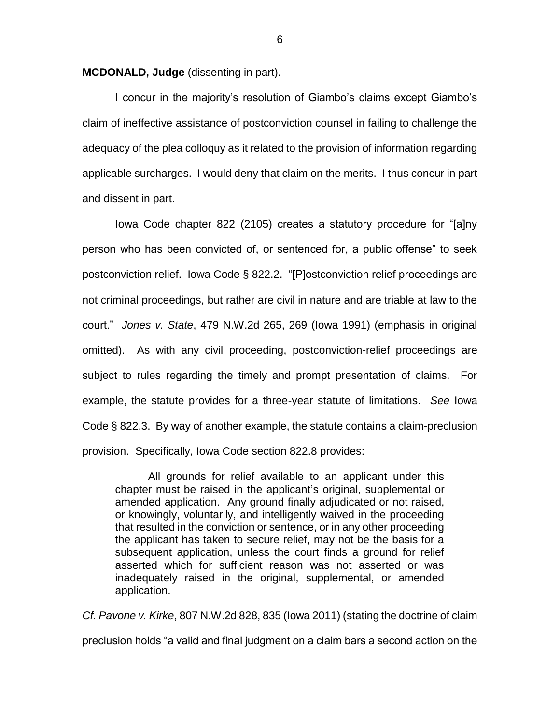**MCDONALD, Judge** (dissenting in part).

I concur in the majority's resolution of Giambo's claims except Giambo's claim of ineffective assistance of postconviction counsel in failing to challenge the adequacy of the plea colloquy as it related to the provision of information regarding applicable surcharges. I would deny that claim on the merits. I thus concur in part and dissent in part.

Iowa Code chapter 822 (2105) creates a statutory procedure for "[a]ny person who has been convicted of, or sentenced for, a public offense" to seek postconviction relief. Iowa Code § 822.2. "[P]ostconviction relief proceedings are not criminal proceedings, but rather are civil in nature and are triable at law to the court." *Jones v. State*, 479 N.W.2d 265, 269 (Iowa 1991) (emphasis in original omitted). As with any civil proceeding, postconviction-relief proceedings are subject to rules regarding the timely and prompt presentation of claims. For example, the statute provides for a three-year statute of limitations. *See* Iowa Code § 822.3. By way of another example, the statute contains a claim-preclusion provision. Specifically, Iowa Code section 822.8 provides:

All grounds for relief available to an applicant under this chapter must be raised in the applicant's original, supplemental or amended application. Any ground finally adjudicated or not raised, or knowingly, voluntarily, and intelligently waived in the proceeding that resulted in the conviction or sentence, or in any other proceeding the applicant has taken to secure relief, may not be the basis for a subsequent application, unless the court finds a ground for relief asserted which for sufficient reason was not asserted or was inadequately raised in the original, supplemental, or amended application.

*Cf. Pavone v. Kirke*, 807 N.W.2d 828, 835 (Iowa 2011) (stating the doctrine of claim preclusion holds "a valid and final judgment on a claim bars a second action on the

6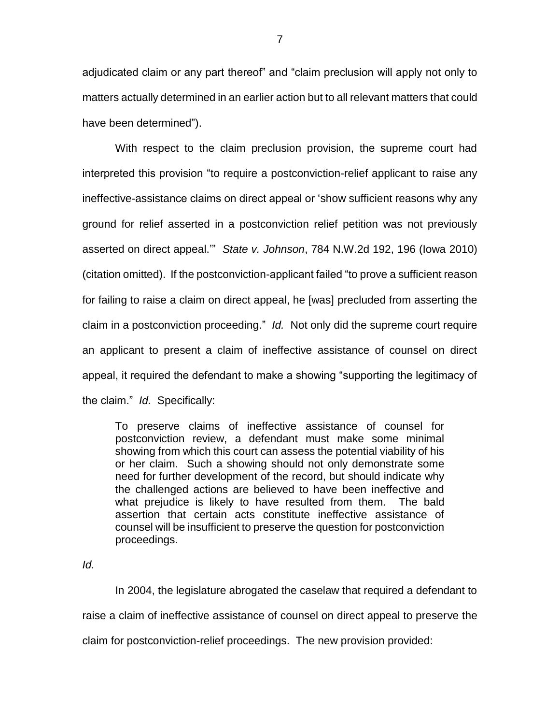adjudicated claim or any part thereof" and "claim preclusion will apply not only to matters actually determined in an earlier action but to all relevant matters that could have been determined").

With respect to the claim preclusion provision, the supreme court had interpreted this provision "to require a postconviction-relief applicant to raise any ineffective-assistance claims on direct appeal or 'show sufficient reasons why any ground for relief asserted in a postconviction relief petition was not previously asserted on direct appeal.'" *State v. Johnson*, 784 N.W.2d 192, 196 (Iowa 2010) (citation omitted). If the postconviction-applicant failed "to prove a sufficient reason for failing to raise a claim on direct appeal, he [was] precluded from asserting the claim in a postconviction proceeding." *Id.* Not only did the supreme court require an applicant to present a claim of ineffective assistance of counsel on direct appeal, it required the defendant to make a showing "supporting the legitimacy of the claim." *Id.* Specifically:

To preserve claims of ineffective assistance of counsel for postconviction review, a defendant must make some minimal showing from which this court can assess the potential viability of his or her claim. Such a showing should not only demonstrate some need for further development of the record, but should indicate why the challenged actions are believed to have been ineffective and what prejudice is likely to have resulted from them. The bald assertion that certain acts constitute ineffective assistance of counsel will be insufficient to preserve the question for postconviction proceedings.

*Id.*

In 2004, the legislature abrogated the caselaw that required a defendant to raise a claim of ineffective assistance of counsel on direct appeal to preserve the claim for postconviction-relief proceedings. The new provision provided: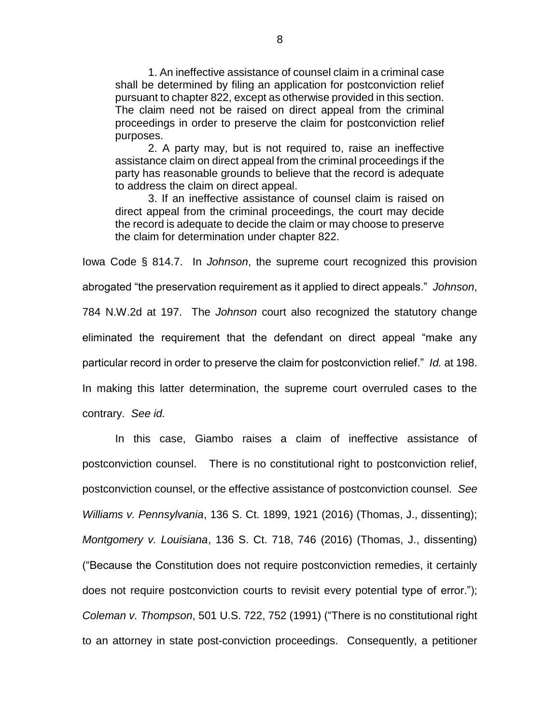1. An ineffective assistance of counsel claim in a criminal case shall be determined by filing an application for postconviction relief pursuant to chapter 822, except as otherwise provided in this section. The claim need not be raised on direct appeal from the criminal proceedings in order to preserve the claim for postconviction relief purposes.

2. A party may, but is not required to, raise an ineffective assistance claim on direct appeal from the criminal proceedings if the party has reasonable grounds to believe that the record is adequate to address the claim on direct appeal.

3. If an ineffective assistance of counsel claim is raised on direct appeal from the criminal proceedings, the court may decide the record is adequate to decide the claim or may choose to preserve the claim for determination under chapter 822.

Iowa Code § 814.7. In *Johnson*, the supreme court recognized this provision abrogated "the preservation requirement as it applied to direct appeals." *Johnson*, 784 N.W.2d at 197. The *Johnson* court also recognized the statutory change eliminated the requirement that the defendant on direct appeal "make any particular record in order to preserve the claim for postconviction relief." *Id.* at 198. In making this latter determination, the supreme court overruled cases to the contrary. *See id.*

In this case, Giambo raises a claim of ineffective assistance of postconviction counsel. There is no constitutional right to postconviction relief, postconviction counsel, or the effective assistance of postconviction counsel. *See Williams v. Pennsylvania*, 136 S. Ct. 1899, 1921 (2016) (Thomas, J., dissenting); *Montgomery v. Louisiana*, 136 S. Ct. 718, 746 (2016) (Thomas, J., dissenting) ("Because the Constitution does not require postconviction remedies, it certainly does not require postconviction courts to revisit every potential type of error."); *Coleman v. Thompson*, 501 U.S. 722, 752 (1991) ("There is no constitutional right to an attorney in state post-conviction proceedings. Consequently, a petitioner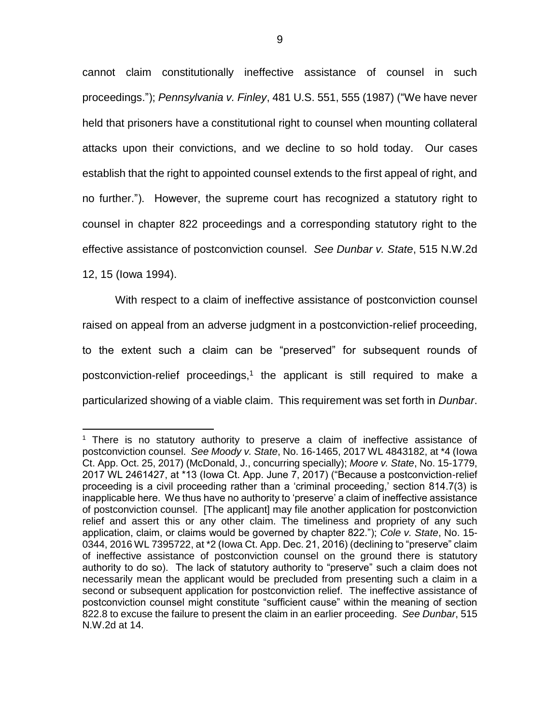cannot claim constitutionally ineffective assistance of counsel in such proceedings."); *Pennsylvania v. Finley*, 481 U.S. 551, 555 (1987) ("We have never held that prisoners have a constitutional right to counsel when mounting collateral attacks upon their convictions, and we decline to so hold today. Our cases establish that the right to appointed counsel extends to the first appeal of right, and no further."). However, the supreme court has recognized a statutory right to counsel in chapter 822 proceedings and a corresponding statutory right to the effective assistance of postconviction counsel. *See Dunbar v. State*, 515 N.W.2d

12, 15 (Iowa 1994).

 $\overline{a}$ 

With respect to a claim of ineffective assistance of postconviction counsel raised on appeal from an adverse judgment in a postconviction-relief proceeding, to the extent such a claim can be "preserved" for subsequent rounds of postconviction-relief proceedings,<sup>1</sup> the applicant is still required to make a particularized showing of a viable claim. This requirement was set forth in *Dunbar*.

 $<sup>1</sup>$  There is no statutory authority to preserve a claim of ineffective assistance of</sup> postconviction counsel. *See Moody v. State*, No. 16-1465, 2017 WL 4843182, at \*4 (Iowa Ct. App. Oct. 25, 2017) (McDonald, J., concurring specially); *Moore v. State*, No. 15-1779, 2017 WL 2461427, at \*13 (Iowa Ct. App. June 7, 2017) ("Because a postconviction-relief proceeding is a civil proceeding rather than a 'criminal proceeding,' section 814.7(3) is inapplicable here. We thus have no authority to 'preserve' a claim of ineffective assistance of postconviction counsel. [The applicant] may file another application for postconviction relief and assert this or any other claim. The timeliness and propriety of any such application, claim, or claims would be governed by chapter 822."); *Cole v. State*, No. 15- 0344, 2016 WL 7395722, at \*2 (Iowa Ct. App. Dec. 21, 2016) (declining to "preserve" claim of ineffective assistance of postconviction counsel on the ground there is statutory authority to do so). The lack of statutory authority to "preserve" such a claim does not necessarily mean the applicant would be precluded from presenting such a claim in a second or subsequent application for postconviction relief. The ineffective assistance of postconviction counsel might constitute "sufficient cause" within the meaning of section 822.8 to excuse the failure to present the claim in an earlier proceeding. *See Dunbar*, 515 N.W.2d at 14.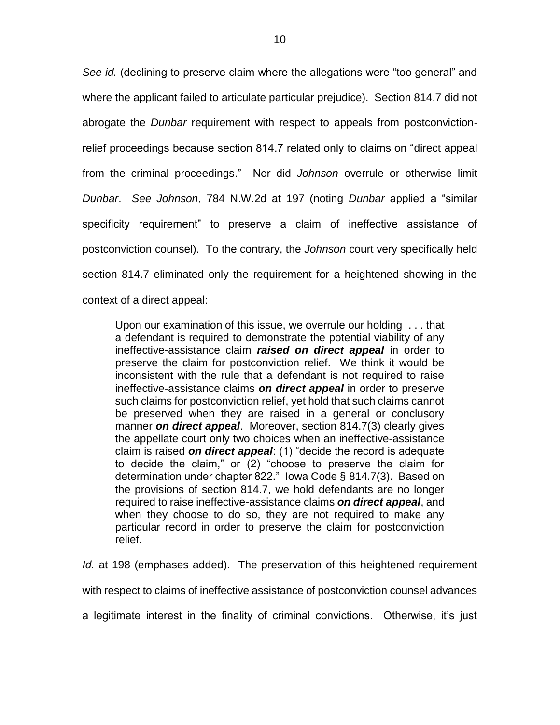*See id.* (declining to preserve claim where the allegations were "too general" and where the applicant failed to articulate particular prejudice). Section 814.7 did not abrogate the *Dunbar* requirement with respect to appeals from postconvictionrelief proceedings because section 814.7 related only to claims on "direct appeal from the criminal proceedings." Nor did *Johnson* overrule or otherwise limit *Dunbar*. *See Johnson*, 784 N.W.2d at 197 (noting *Dunbar* applied a "similar specificity requirement" to preserve a claim of ineffective assistance of postconviction counsel). To the contrary, the *Johnson* court very specifically held section 814.7 eliminated only the requirement for a heightened showing in the context of a direct appeal:

Upon our examination of this issue, we overrule our holding . . . that a defendant is required to demonstrate the potential viability of any ineffective-assistance claim *raised on direct appeal* in order to preserve the claim for postconviction relief. We think it would be inconsistent with the rule that a defendant is not required to raise ineffective-assistance claims *on direct appeal* in order to preserve such claims for postconviction relief, yet hold that such claims cannot be preserved when they are raised in a general or conclusory manner *on direct appeal*. Moreover, section 814.7(3) clearly gives the appellate court only two choices when an ineffective-assistance claim is raised *on direct appeal*: (1) "decide the record is adequate to decide the claim," or (2) "choose to preserve the claim for determination under chapter 822." Iowa Code § 814.7(3). Based on the provisions of section 814.7, we hold defendants are no longer required to raise ineffective-assistance claims *on direct appeal*, and when they choose to do so, they are not required to make any particular record in order to preserve the claim for postconviction relief.

*Id.* at 198 (emphases added). The preservation of this heightened requirement with respect to claims of ineffective assistance of postconviction counsel advances a legitimate interest in the finality of criminal convictions. Otherwise, it's just